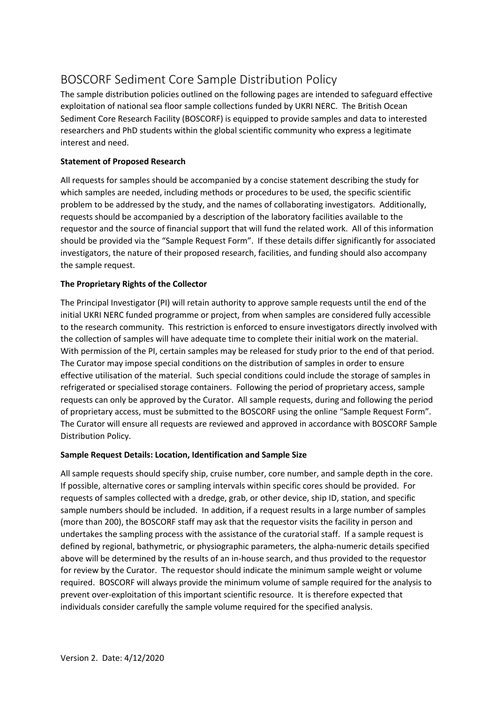# BOSCORF Sediment Core Sample Distribution Policy

The sample distribution policies outlined on the following pages are intended to safeguard effective exploitation of national sea floor sample collections funded by UKRI NERC. The British Ocean Sediment Core Research Facility (BOSCORF) is equipped to provide samples and data to interested researchers and PhD students within the global scientific community who express a legitimate interest and need.

## **Statement of Proposed Research**

All requests for samples should be accompanied by a concise statement describing the study for which samples are needed, including methods or procedures to be used, the specific scientific problem to be addressed by the study, and the names of collaborating investigators. Additionally, requests should be accompanied by a description of the laboratory facilities available to the requestor and the source of financial support that will fund the related work. All of this information should be provided via the "Sample Request Form". If these details differ significantly for associated investigators, the nature of their proposed research, facilities, and funding should also accompany the sample request.

## **The Proprietary Rights of the Collector**

The Principal Investigator (PI) will retain authority to approve sample requests until the end of the initial UKRI NERC funded programme or project, from when samples are considered fully accessible to the research community. This restriction is enforced to ensure investigators directly involved with the collection of samples will have adequate time to complete their initial work on the material. With permission of the PI, certain samples may be released for study prior to the end of that period. The Curator may impose special conditions on the distribution of samples in order to ensure effective utilisation of the material. Such special conditions could include the storage of samples in refrigerated or specialised storage containers. Following the period of proprietary access, sample requests can only be approved by the Curator. All sample requests, during and following the period of proprietary access, must be submitted to the BOSCORF using the online "Sample Request Form". The Curator will ensure all requests are reviewed and approved in accordance with BOSCORF Sample Distribution Policy.

## **Sample Request Details: Location, Identification and Sample Size**

All sample requests should specify ship, cruise number, core number, and sample depth in the core. If possible, alternative cores or sampling intervals within specific cores should be provided. For requests of samples collected with a dredge, grab, or other device, ship ID, station, and specific sample numbers should be included. In addition, if a request results in a large number of samples (more than 200), the BOSCORF staff may ask that the requestor visits the facility in person and undertakes the sampling process with the assistance of the curatorial staff. If a sample request is defined by regional, bathymetric, or physiographic parameters, the alpha-numeric details specified above will be determined by the results of an in-house search, and thus provided to the requestor for review by the Curator. The requestor should indicate the minimum sample weight or volume required. BOSCORF will always provide the minimum volume of sample required for the analysis to prevent over-exploitation of this important scientific resource. It is therefore expected that individuals consider carefully the sample volume required for the specified analysis.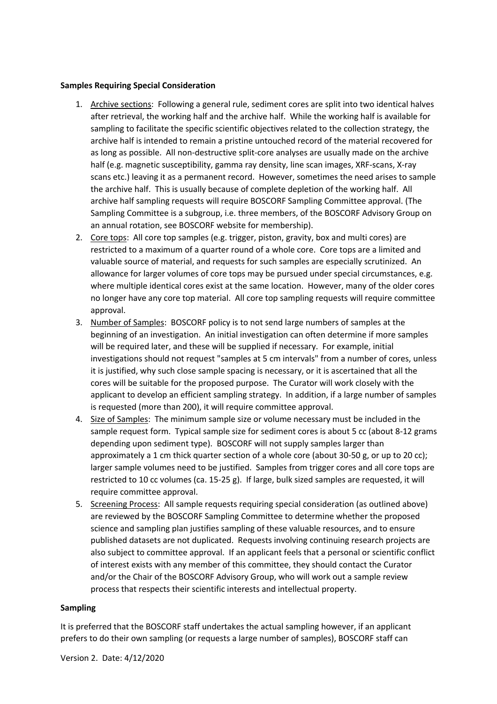#### **Samples Requiring Special Consideration**

- 1. Archive sections: Following a general rule, sediment cores are split into two identical halves after retrieval, the working half and the archive half. While the working half is available for sampling to facilitate the specific scientific objectives related to the collection strategy, the archive half is intended to remain a pristine untouched record of the material recovered for as long as possible. All non-destructive split-core analyses are usually made on the archive half (e.g. magnetic susceptibility, gamma ray density, line scan images, XRF-scans, X-ray scans etc.) leaving it as a permanent record. However, sometimes the need arises to sample the archive half. This is usually because of complete depletion of the working half. All archive half sampling requests will require BOSCORF Sampling Committee approval. (The Sampling Committee is a subgroup, i.e. three members, of the BOSCORF Advisory Group on an annual rotation, see BOSCORF website for membership).
- 2. Core tops: All core top samples (e.g. trigger, piston, gravity, box and multi cores) are restricted to a maximum of a quarter round of a whole core. Core tops are a limited and valuable source of material, and requests for such samples are especially scrutinized. An allowance for larger volumes of core tops may be pursued under special circumstances, e.g. where multiple identical cores exist at the same location. However, many of the older cores no longer have any core top material. All core top sampling requests will require committee approval.
- 3. Number of Samples: BOSCORF policy is to not send large numbers of samples at the beginning of an investigation. An initial investigation can often determine if more samples will be required later, and these will be supplied if necessary. For example, initial investigations should not request "samples at 5 cm intervals" from a number of cores, unless it is justified, why such close sample spacing is necessary, or it is ascertained that all the cores will be suitable for the proposed purpose. The Curator will work closely with the applicant to develop an efficient sampling strategy. In addition, if a large number of samples is requested (more than 200), it will require committee approval.
- 4. Size of Samples: The minimum sample size or volume necessary must be included in the sample request form. Typical sample size for sediment cores is about 5 cc (about 8-12 grams depending upon sediment type). BOSCORF will not supply samples larger than approximately a 1 cm thick quarter section of a whole core (about 30-50 g, or up to 20 cc); larger sample volumes need to be justified. Samples from trigger cores and all core tops are restricted to 10 cc volumes (ca. 15-25 g). If large, bulk sized samples are requested, it will require committee approval.
- 5. Screening Process: All sample requests requiring special consideration (as outlined above) are reviewed by the BOSCORF Sampling Committee to determine whether the proposed science and sampling plan justifies sampling of these valuable resources, and to ensure published datasets are not duplicated. Requests involving continuing research projects are also subject to committee approval. If an applicant feels that a personal or scientific conflict of interest exists with any member of this committee, they should contact the Curator and/or the Chair of the BOSCORF Advisory Group, who will work out a sample review process that respects their scientific interests and intellectual property.

#### **Sampling**

It is preferred that the BOSCORF staff undertakes the actual sampling however, if an applicant prefers to do their own sampling (or requests a large number of samples), BOSCORF staff can